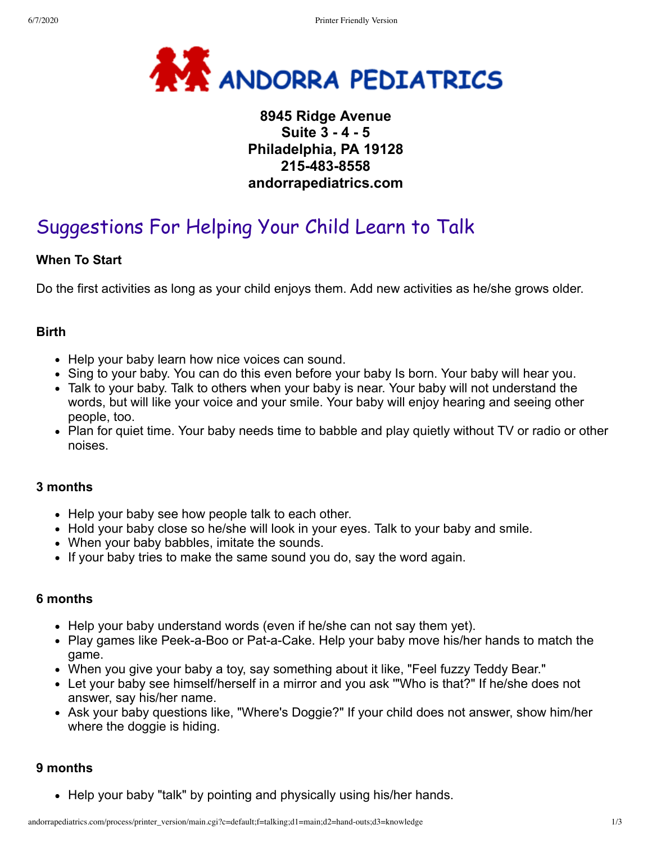

# **8945 Ridge Avenue Suite 3 - 4 - 5 Philadelphia, PA 19128 215-483-8558 andorrapediatrics.com**

# Suggestions For Helping Your Child Learn to Talk

#### **When To Start**

Do the first activities as long as your child enjoys them. Add new activities as he/she grows older.

#### **Birth**

- Help your baby learn how nice voices can sound.
- Sing to your baby. You can do this even before your baby Is born. Your baby will hear you.
- Talk to your baby. Talk to others when your baby is near. Your baby will not understand the words, but will like your voice and your smile. Your baby will enjoy hearing and seeing other people, too.
- Plan for quiet time. Your baby needs time to babble and play quietly without TV or radio or other noises.

#### **3 months**

- Help your baby see how people talk to each other.
- Hold your baby close so he/she will look in your eyes. Talk to your baby and smile.
- When your baby babbles, imitate the sounds.
- If your baby tries to make the same sound you do, say the word again.

#### **6 months**

- Help your baby understand words (even if he/she can not say them yet).
- Play games like Peek-a-Boo or Pat-a-Cake. Help your baby move his/her hands to match the game.
- When you give your baby a toy, say something about it like, "Feel fuzzy Teddy Bear."
- Let your baby see himself/herself in a mirror and you ask '"Who is that?" If he/she does not answer, say his/her name.
- Ask your baby questions like, "Where's Doggie?" If your child does not answer, show him/her where the doggie is hiding.

#### **9 months**

• Help your baby "talk" by pointing and physically using his/her hands.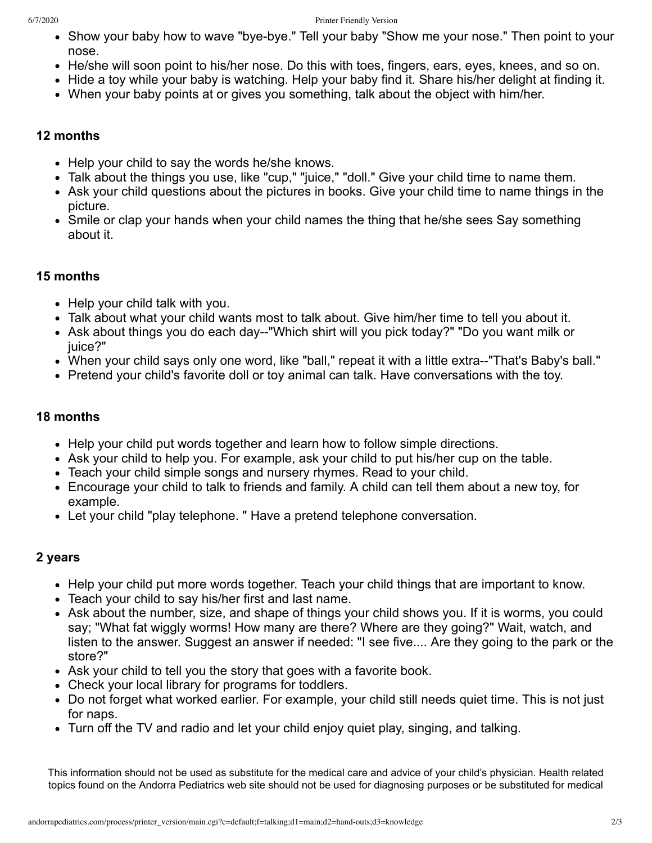- Show your baby how to wave "bye-bye." Tell your baby "Show me your nose." Then point to your nose.
- He/she will soon point to his/her nose. Do this with toes, fingers, ears, eyes, knees, and so on.
- Hide a toy while your baby is watching. Help your baby find it. Share his/her delight at finding it.
- When your baby points at or gives you something, talk about the object with him/her.

#### **12 months**

- Help your child to say the words he/she knows.
- Talk about the things you use, like "cup," "juice," "doll." Give your child time to name them.
- Ask your child questions about the pictures in books. Give your child time to name things in the picture.
- Smile or clap your hands when your child names the thing that he/she sees Say something about it.

# **15 months**

- Help your child talk with you.
- Talk about what your child wants most to talk about. Give him/her time to tell you about it.
- Ask about things you do each day--"Which shirt will you pick today?" "Do you want milk or juice?"
- When your child says only one word, like "ball," repeat it with a little extra--"That's Baby's ball."
- Pretend your child's favorite doll or toy animal can talk. Have conversations with the toy.

# **18 months**

- Help your child put words together and learn how to follow simple directions.
- Ask your child to help you. For example, ask your child to put his/her cup on the table.
- Teach your child simple songs and nursery rhymes. Read to your child.
- Encourage your child to talk to friends and family. A child can tell them about a new toy, for example.
- Let your child "play telephone. " Have a pretend telephone conversation.

# **2 years**

- Help your child put more words together. Teach your child things that are important to know.
- Teach your child to say his/her first and last name.
- Ask about the number, size, and shape of things your child shows you. If it is worms, you could say; "What fat wiggly worms! How many are there? Where are they going?" Wait, watch, and listen to the answer. Suggest an answer if needed: "I see five.... Are they going to the park or the store?"
- Ask your child to tell you the story that goes with a favorite book.
- Check your local library for programs for toddlers.
- Do not forget what worked earlier. For example, your child still needs quiet time. This is not just for naps.
- Turn off the TV and radio and let your child enjoy quiet play, singing, and talking.

This information should not be used as substitute for the medical care and advice of your child's physician. Health related topics found on the Andorra Pediatrics web site should not be used for diagnosing purposes or be substituted for medical